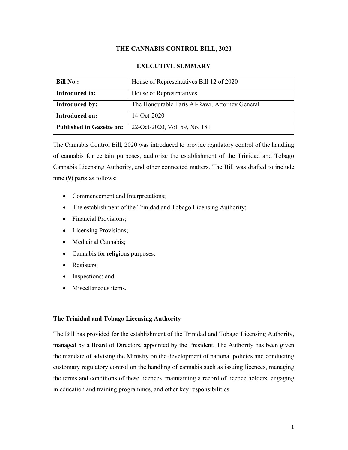## **THE CANNABIS CONTROL BILL, 2020**

## **EXECUTIVE SUMMARY**

| <b>Bill No.:</b>                | House of Representatives Bill 12 of 2020       |
|---------------------------------|------------------------------------------------|
| Introduced in:                  | House of Representatives                       |
| <b>Introduced by:</b>           | The Honourable Faris Al-Rawi, Attorney General |
| Introduced on:                  | 14-Oct-2020                                    |
| <b>Published in Gazette on:</b> | 22-Oct-2020, Vol. 59, No. 181                  |

The Cannabis Control Bill, 2020 was introduced to provide regulatory control of the handling of cannabis for certain purposes, authorize the establishment of the Trinidad and Tobago Cannabis Licensing Authority, and other connected matters. The Bill was drafted to include nine (9) parts as follows:

- Commencement and Interpretations;
- The establishment of the Trinidad and Tobago Licensing Authority;
- Financial Provisions;
- Licensing Provisions;
- Medicinal Cannabis:
- Cannabis for religious purposes;
- Registers;
- Inspections; and
- Miscellaneous items.

## **The Trinidad and Tobago Licensing Authority**

The Bill has provided for the establishment of the Trinidad and Tobago Licensing Authority, managed by a Board of Directors, appointed by the President. The Authority has been given the mandate of advising the Ministry on the development of national policies and conducting customary regulatory control on the handling of cannabis such as issuing licences, managing the terms and conditions of these licences, maintaining a record of licence holders, engaging in education and training programmes, and other key responsibilities.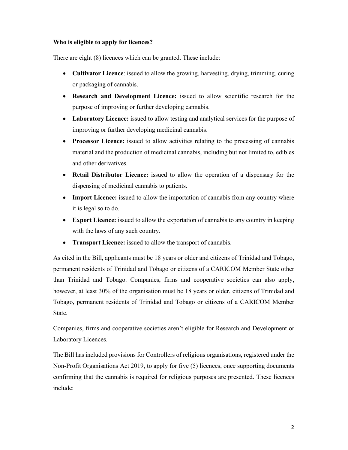## **Who is eligible to apply for licences?**

There are eight (8) licences which can be granted. These include:

- **Cultivator Licence**: issued to allow the growing, harvesting, drying, trimming, curing or packaging of cannabis.
- **Research and Development Licence:** issued to allow scientific research for the purpose of improving or further developing cannabis.
- **Laboratory Licence:** issued to allow testing and analytical services for the purpose of improving or further developing medicinal cannabis.
- **Processor Licence:** issued to allow activities relating to the processing of cannabis material and the production of medicinal cannabis, including but not limited to, edibles and other derivatives.
- **Retail Distributor Licence:** issued to allow the operation of a dispensary for the dispensing of medicinal cannabis to patients.
- **Import Licence:** issued to allow the importation of cannabis from any country where it is legal so to do.
- **Export Licence:** issued to allow the exportation of cannabis to any country in keeping with the laws of any such country.
- **Transport Licence:** issued to allow the transport of cannabis.

As cited in the Bill, applicants must be 18 years or older and citizens of Trinidad and Tobago, permanent residents of Trinidad and Tobago or citizens of a CARICOM Member State other than Trinidad and Tobago. Companies, firms and cooperative societies can also apply, however, at least 30% of the organisation must be 18 years or older, citizens of Trinidad and Tobago, permanent residents of Trinidad and Tobago or citizens of a CARICOM Member State.

Companies, firms and cooperative societies aren't eligible for Research and Development or Laboratory Licences.

The Bill has included provisions for Controllers of religious organisations, registered under the Non-Profit Organisations Act 2019, to apply for five (5) licences, once supporting documents confirming that the cannabis is required for religious purposes are presented. These licences include: